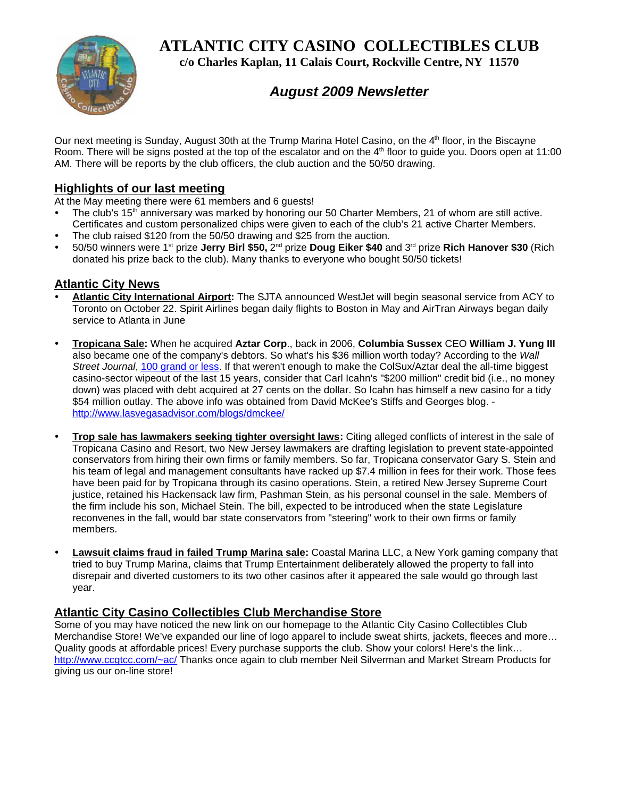**ATLANTIC CITY CASINO COLLECTIBLES CLUB**



**c/o Charles Kaplan, 11 Calais Court, Rockville Centre, NY 11570**

# *August 2009 Newsletter*

Our next meeting is Sunday, August 30th at the Trump Marina Hotel Casino, on the 4<sup>th</sup> floor, in the Biscayne Room. There will be signs posted at the top of the escalator and on the 4<sup>th</sup> floor to guide you. Doors open at 11:00 AM. There will be reports by the club officers, the club auction and the 50/50 drawing.

## **Highlights of our last meeting**

At the May meeting there were 61 members and 6 guests!

- The club's 15<sup>th</sup> anniversary was marked by honoring our 50 Charter Members, 21 of whom are still active. Certificates and custom personalized chips were given to each of the club's 21 active Charter Members.
- The club raised \$120 from the 50/50 drawing and \$25 from the auction.
- y 50/50 winners were 1st prize **Jerry Birl \$50,** 2nd prize **Doug Eiker \$40** and 3rd prize **Rich Hanover \$30** (Rich donated his prize back to the club). Many thanks to everyone who bought 50/50 tickets!

### **Atlantic City News**

- y **Atlantic City International Airport:** The SJTA announced WestJet will begin seasonal service from ACY to Toronto on October 22. Spirit Airlines began daily flights to Boston in May and AirTran Airways began daily service to Atlanta in June
- y **Tropicana Sale:** When he acquired **Aztar Corp**., back in 2006, **Columbia Sussex** CEO **William J. Yung III** also became one of the company's debtors. So what's his \$36 million worth today? According to the *Wall Street Journal*, 100 grand or less. If that weren't enough to make the ColSux/Aztar deal the all-time biggest casino-sector wipeout of the last 15 years, consider that Carl Icahn's "\$200 million" credit bid (i.e., no money down) was placed with debt acquired at 27 cents on the dollar. So Icahn has himself a new casino for a tidy \$54 million outlay. The above info was obtained from David McKee's Stiffs and Georges blog. http://www.lasvegasadvisor.com/blogs/dmckee/
- **Trop sale has lawmakers seeking tighter oversight laws:** Citing alleged conflicts of interest in the sale of Tropicana Casino and Resort, two New Jersey lawmakers are drafting legislation to prevent state-appointed conservators from hiring their own firms or family members. So far, Tropicana conservator Gary S. Stein and his team of legal and management consultants have racked up \$7.4 million in fees for their work. Those fees have been paid for by Tropicana through its casino operations. Stein, a retired New Jersey Supreme Court justice, retained his Hackensack law firm, Pashman Stein, as his personal counsel in the sale. Members of the firm include his son, Michael Stein. The bill, expected to be introduced when the state Legislature reconvenes in the fall, would bar state conservators from "steering" work to their own firms or family members.
- Lawsuit claims fraud in failed Trump Marina sale: Coastal Marina LLC, a New York gaming company that tried to buy Trump Marina, claims that Trump Entertainment deliberately allowed the property to fall into disrepair and diverted customers to its two other casinos after it appeared the sale would go through last year.

### **Atlantic City Casino Collectibles Club Merchandise Store**

Some of you may have noticed the new link on our homepage to the Atlantic City Casino Collectibles Club Merchandise Store! We've expanded our line of logo apparel to include sweat shirts, jackets, fleeces and more… Quality goods at affordable prices! Every purchase supports the club. Show your colors! Here's the link... http://www.ccgtcc.com/~ac/ Thanks once again to club member Neil Silverman and Market Stream Products for giving us our on-line store!